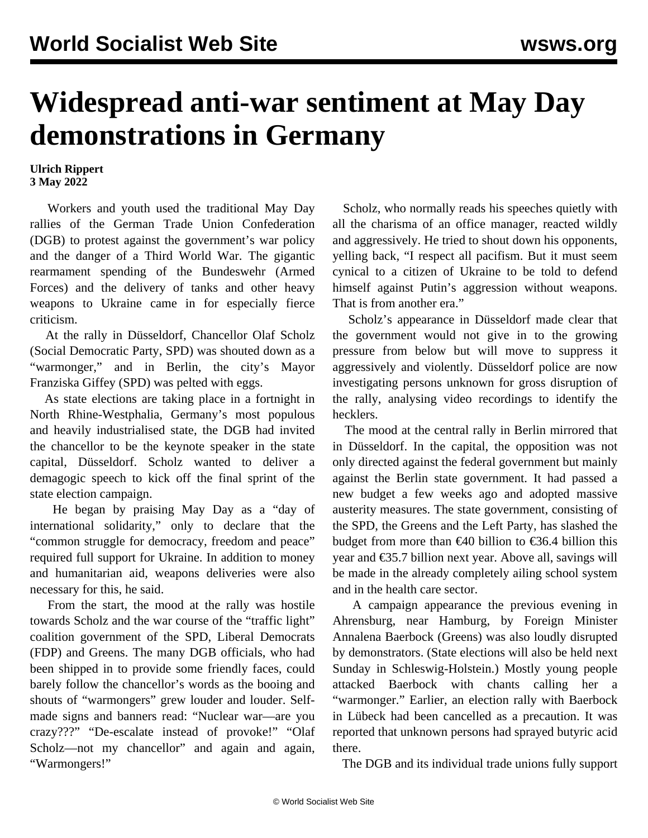## **Widespread anti-war sentiment at May Day demonstrations in Germany**

## **Ulrich Rippert 3 May 2022**

 Workers and youth used the traditional May Day rallies of the German Trade Union Confederation (DGB) to protest against the government's war policy and the danger of a Third World War. The gigantic rearmament spending of the Bundeswehr (Armed Forces) and the delivery of tanks and other heavy weapons to Ukraine came in for especially fierce criticism.

 At the rally in Düsseldorf, Chancellor Olaf Scholz (Social Democratic Party, SPD) was shouted down as a "warmonger," and in Berlin, the city's Mayor Franziska Giffey (SPD) was pelted with eggs.

 As state elections are taking place in a fortnight in North Rhine-Westphalia, Germany's most populous and heavily industrialised state, the DGB had invited the chancellor to be the keynote speaker in the state capital, Düsseldorf. Scholz wanted to deliver a demagogic speech to kick off the final sprint of the state election campaign.

 He began by praising May Day as a "day of international solidarity," only to declare that the "common struggle for democracy, freedom and peace" required full support for Ukraine. In addition to money and humanitarian aid, weapons deliveries were also necessary for this, he said.

 From the start, the mood at the rally was hostile towards Scholz and the war course of the "traffic light" coalition government of the SPD, Liberal Democrats (FDP) and Greens. The many DGB officials, who had been shipped in to provide some friendly faces, could barely follow the chancellor's words as the booing and shouts of "warmongers" grew louder and louder. Selfmade signs and banners read: "Nuclear war—are you crazy???" "De-escalate instead of provoke!" "Olaf Scholz—not my chancellor" and again and again, "Warmongers!"

 Scholz, who normally reads his speeches quietly with all the charisma of an office manager, reacted wildly and aggressively. He tried to shout down his opponents, yelling back, "I respect all pacifism. But it must seem cynical to a citizen of Ukraine to be told to defend himself against Putin's aggression without weapons. That is from another era."

 Scholz's appearance in Düsseldorf made clear that the government would not give in to the growing pressure from below but will move to suppress it aggressively and violently. Düsseldorf police are now investigating persons unknown for gross disruption of the rally, analysing video recordings to identify the hecklers.

 The mood at the central rally in Berlin mirrored that in Düsseldorf. In the capital, the opposition was not only directed against the federal government but mainly against the Berlin state government. It had passed a new budget a few weeks ago and adopted massive austerity measures. The state government, consisting of the SPD, the Greens and the Left Party, has slashed the budget from more than  $\epsilon$ 40 billion to  $\epsilon$ 36.4 billion this year and €35.7 billion next year. Above all, savings will be made in the already completely ailing school system and in the health care sector.

 A campaign appearance the previous evening in Ahrensburg, near Hamburg, by Foreign Minister Annalena Baerbock (Greens) was also loudly disrupted by demonstrators. (State elections will also be held next Sunday in Schleswig-Holstein.) Mostly young people attacked Baerbock with chants calling her a "warmonger." Earlier, an election rally with Baerbock in Lübeck had been cancelled as a precaution. It was reported that unknown persons had sprayed butyric acid there.

The DGB and its individual trade unions fully support